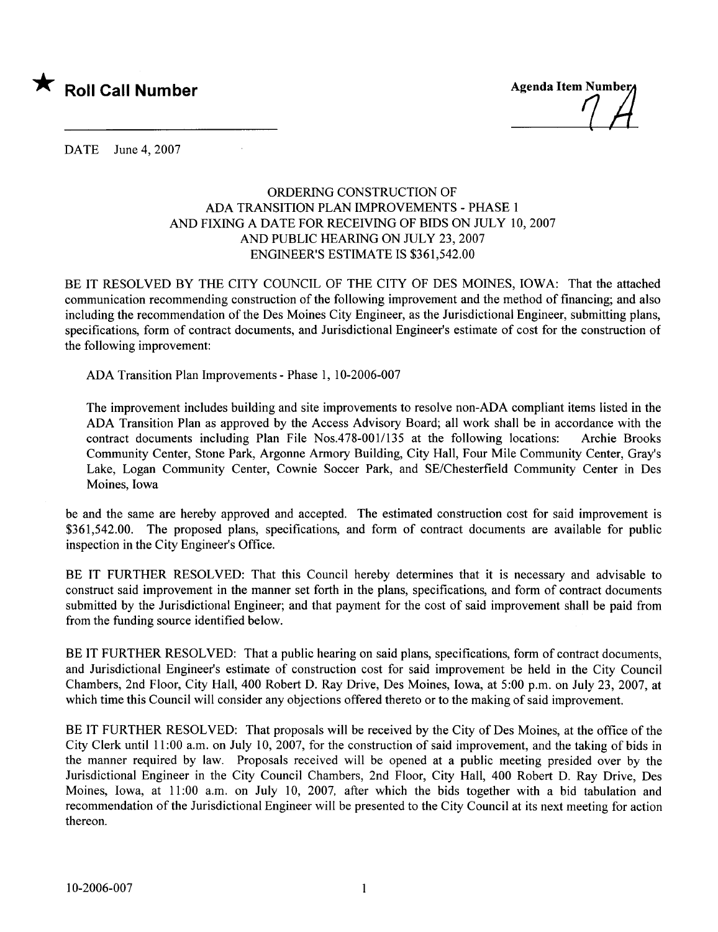

 $\frac{1}{2}$ 

DATE June 4, 2007

## ORDERIG CONSTRUCTION OF ADA TRANSITION PLAN IMPROVEMENTS - PHASE 1 AND FIXING A DATE FOR RECEIVING OF BIDS ON JULY 10, 2007 AND PUBLIC HEARING ON JULY 23, 2007 ENGINEER'S ESTIMATE IS \$361,542.00

BE IT RESOLVED BY THE CITY COUNCIL OF THE CITY OF DES MOINES, IOWA: That the attached communication recommending construction of the following improvement and the method of financing; and also including the recommendation of the Des Moines City Engineer, as the Jurisdictional Engineer, submitting plans, specifications, form of contract documents, and Jurisdictional Engineer's estimate of cost for the construction of the following improvement:

ADA Transition Plan Improvements - Phase 1, 10-2006-007

The improvement includes building and site improvements to resolve non-ADA compliant items listed in the ADA Transition Plan as approved by the Access Advisory Board; all work shall be in accordance with the contract documents including Plan File Nos.478-00l/135 at the following locations: Archie Brooks Community Center, Stone Park, Argonne Armory Building, City Hall, Four Mile Community Center, Gray's Lake, Logan Community Center, Cownie Soccer Park, and SE/Chesterfield Community Center in Des Moines, Iowa

be and the same are hereby approved and accepted. The estimated construction cost for said improvement is \$361,542.00. The proposed plans, specifications, and form of contract documents are available for public inspection in the City Engineer's Office.

BE IT FURTHER RESOLVED: That this Council hereby determines that it is necessary and advisable to construct said improvement in the manner set forth in the plans, specifications, and form of contract documents submitted by the Jurisdictional Engineer; and that payment for the cost of said improvement shall be paid from from the funding source identified below.

BE IT FURTHER RESOLVED: That a public hearing on said plans, specifications, form of contract documents, and Jurisdictional Engineer's estimate of construction cost for said improvement be held in the City Council Chambers, 2nd Floor, City Hall, 400 Robert D. Ray Drive, Des Moines, Iowa, at 5:00 p.m. on July 23,2007, at which time this Council will consider any objections offered thereto or to the making of said improvement.

BE IT FURTHER RESOLVED: That proposals will be received by the City of Des Moines, at the office of the City Clerk until 11 :00 a.m. on July 10, 2007, for the construction of said improvement, and the taking of bids in the manner required by law. Proposals received will be opened at a public meeting presided over by the Jurisdictional Engineer in the City Council Chambers, 2nd Floor, City Hall, 400 Robert D. Ray Drive, Des Moines, Iowa, at 11:00 a.m. on July 10, 2007, after which the bids together with a bid tabulation and recommendation of the Jurisdictional Engineer wil be presented to the City Council at its next meeting for action thereon.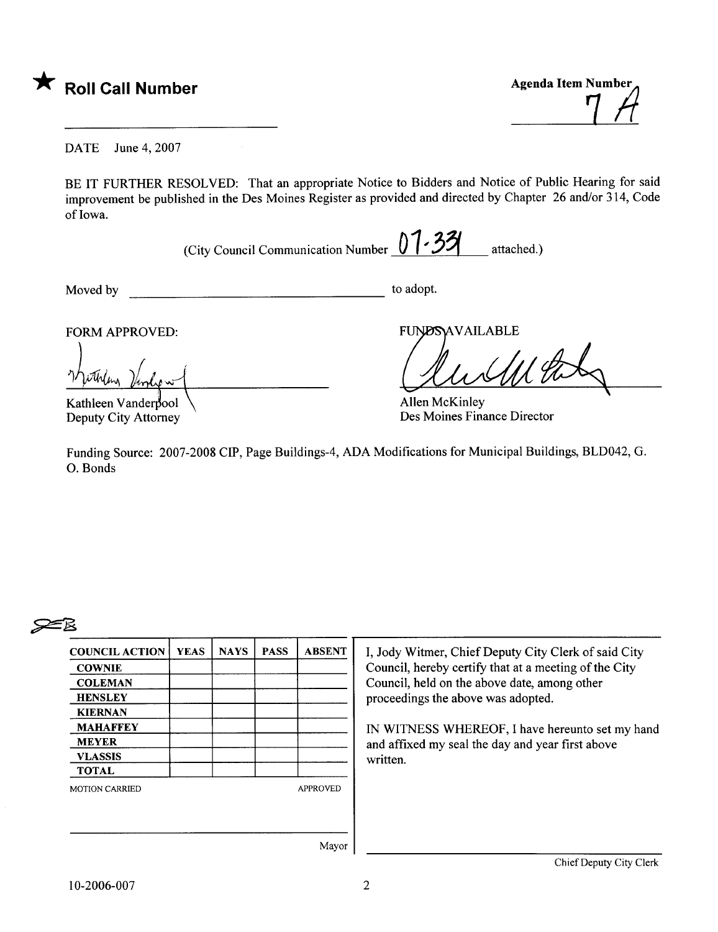

7 H

DATE June 4, 2007

BE IT FURTHER RESOLVED: That an appropriate Notice to Bidders and Notice of Public Hearing for said improvement be published in the Des Moines Register as provided and directed by Chapter 26 and/or 314, Code of Iowa.

(City Council Communication Number  $01.33$  attached.)

Moved by to adopt.

FORM APPROVED:

Kathleen Vanderbool Deputy City Attorney

FUNDSAVAILA

Des Moines Finance Director

Funding Source: 2007-2008 CIP, Page Buildings-4, ADA Modifications for Municipal Buildings, BLD042, G. O. Bonds

## $\approx$

| <b>COUNCIL ACTION</b> | <b>YEAS</b> | <b>NAYS</b> | <b>PASS</b> | <b>ABSENT</b>   |
|-----------------------|-------------|-------------|-------------|-----------------|
| <b>COWNIE</b>         |             |             |             |                 |
| <b>COLEMAN</b>        |             |             |             |                 |
| <b>HENSLEY</b>        |             |             |             |                 |
| <b>KIERNAN</b>        |             |             |             |                 |
| <b>MAHAFFEY</b>       |             |             |             |                 |
| <b>MEYER</b>          |             |             |             |                 |
| <b>VLASSIS</b>        |             |             |             |                 |
| <b>TOTAL</b>          |             |             |             |                 |
| <b>MOTION CARRIED</b> |             |             |             | <b>APPROVED</b> |
|                       |             |             |             |                 |
|                       |             |             |             |                 |
|                       |             |             |             |                 |
|                       |             |             |             | Mayor           |

Witmer, Chief Deputy City Clerk of said City  $\ddot{\text{c}}$ . hereby certify that at a meeting of the City il, held on the above date, among other edings the above was adopted.

TNESS WHEREOF, I have hereunto set my hand fixed my seal the day and year first above n.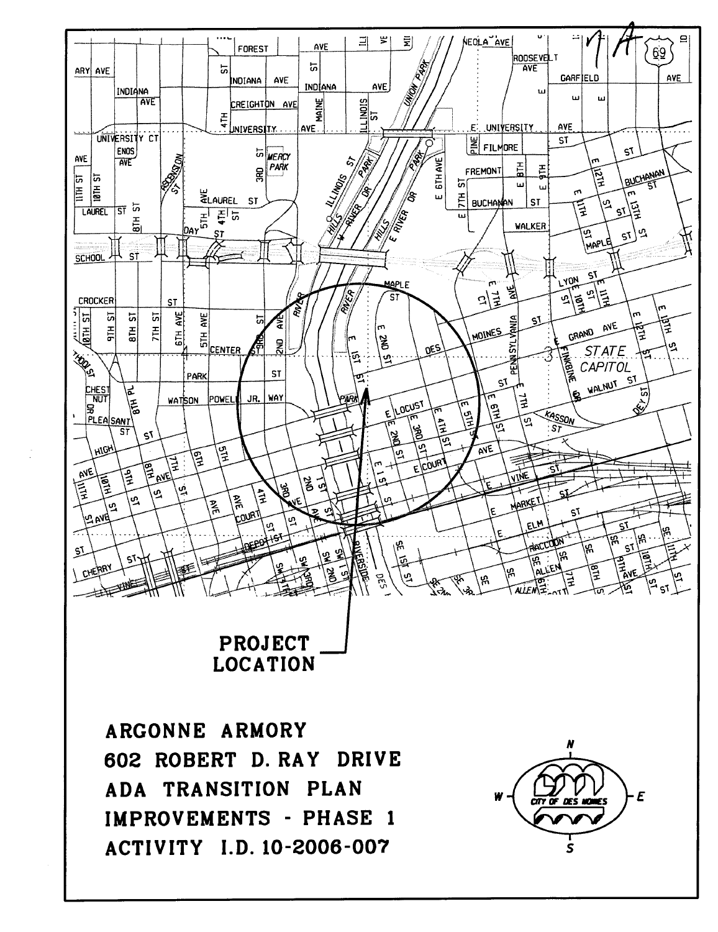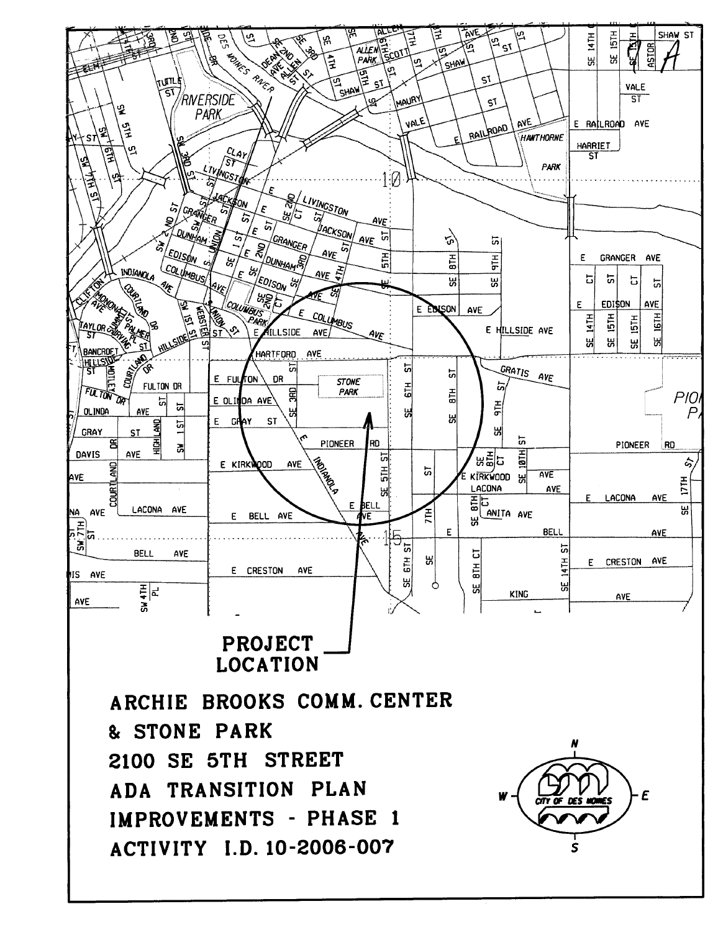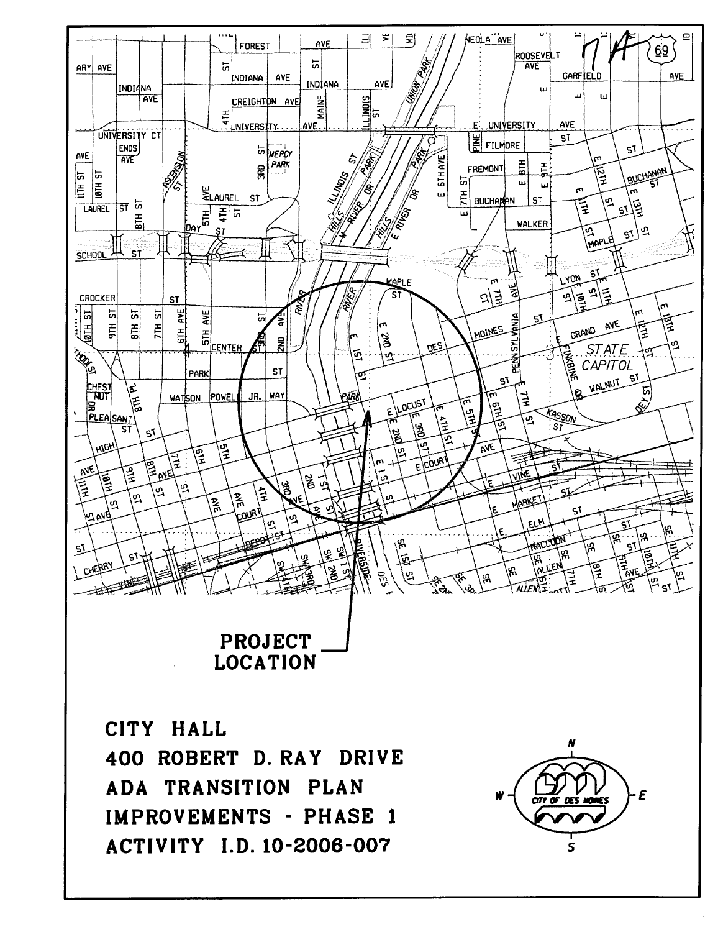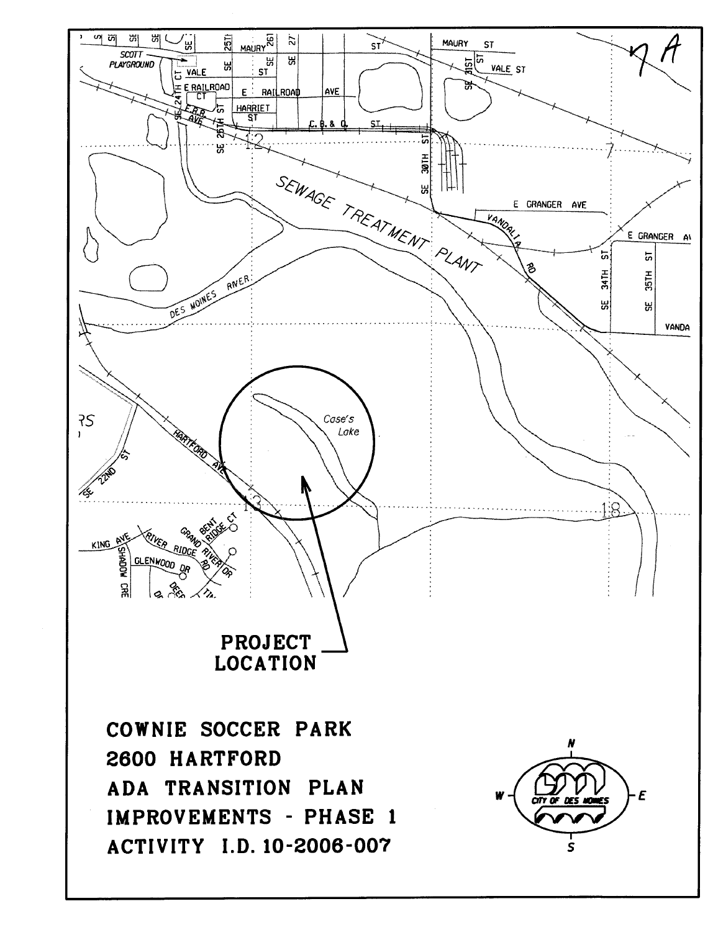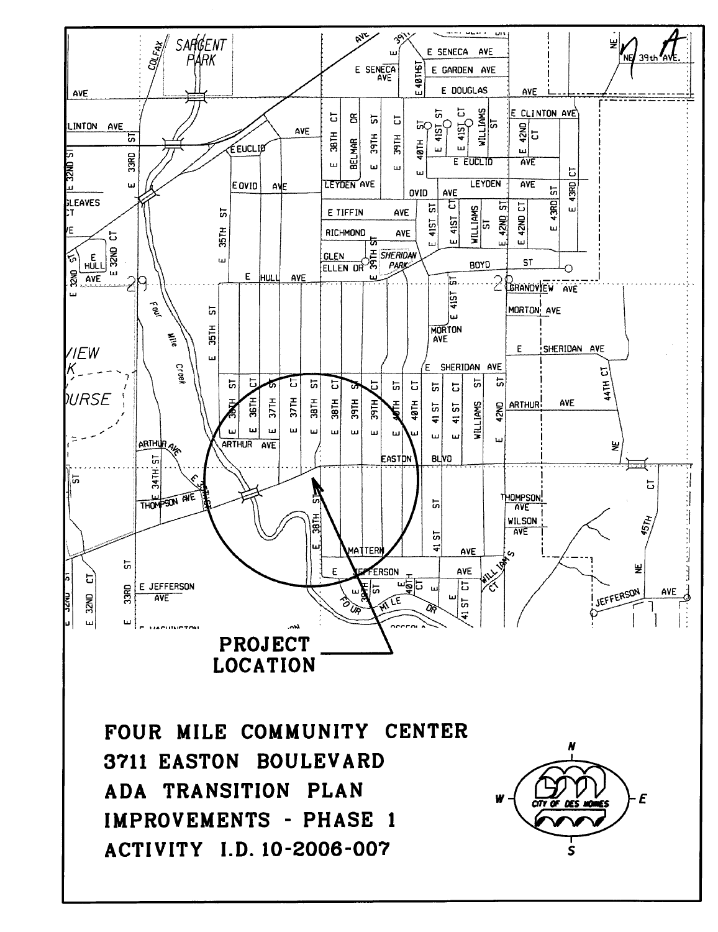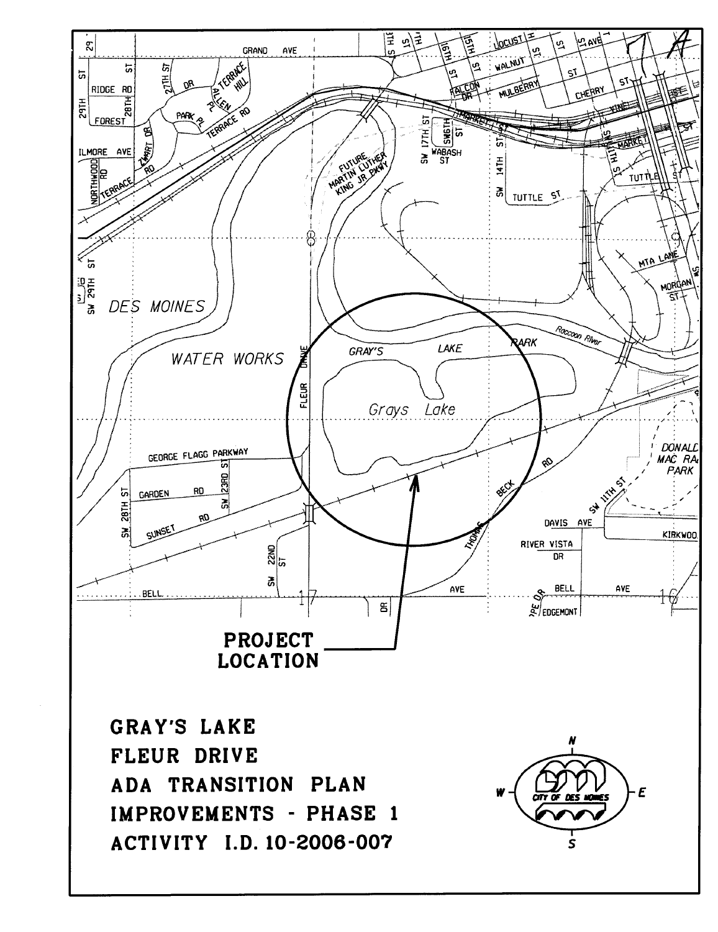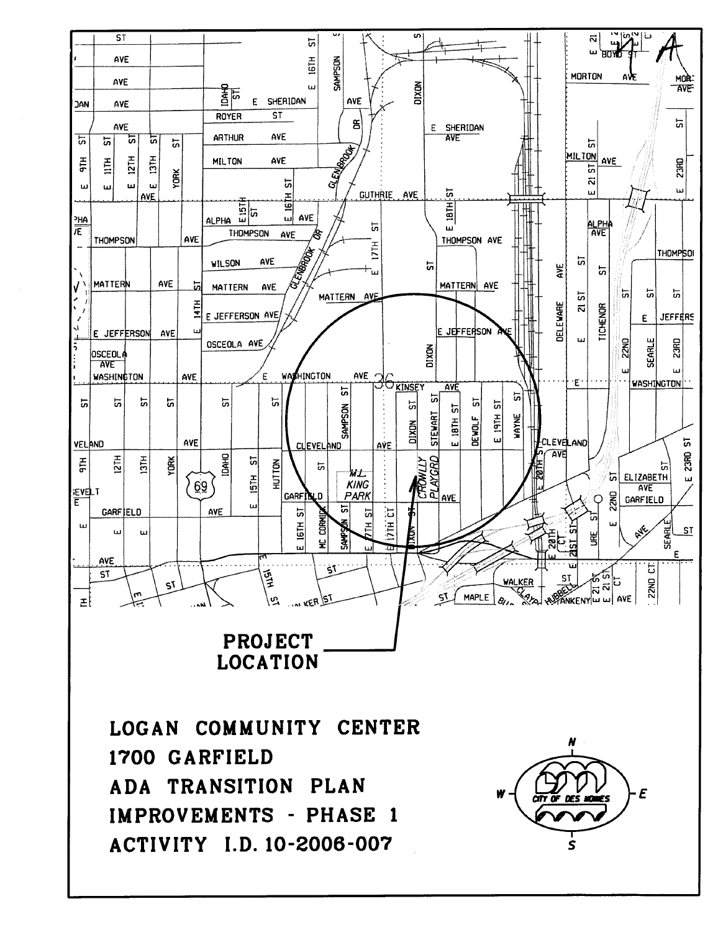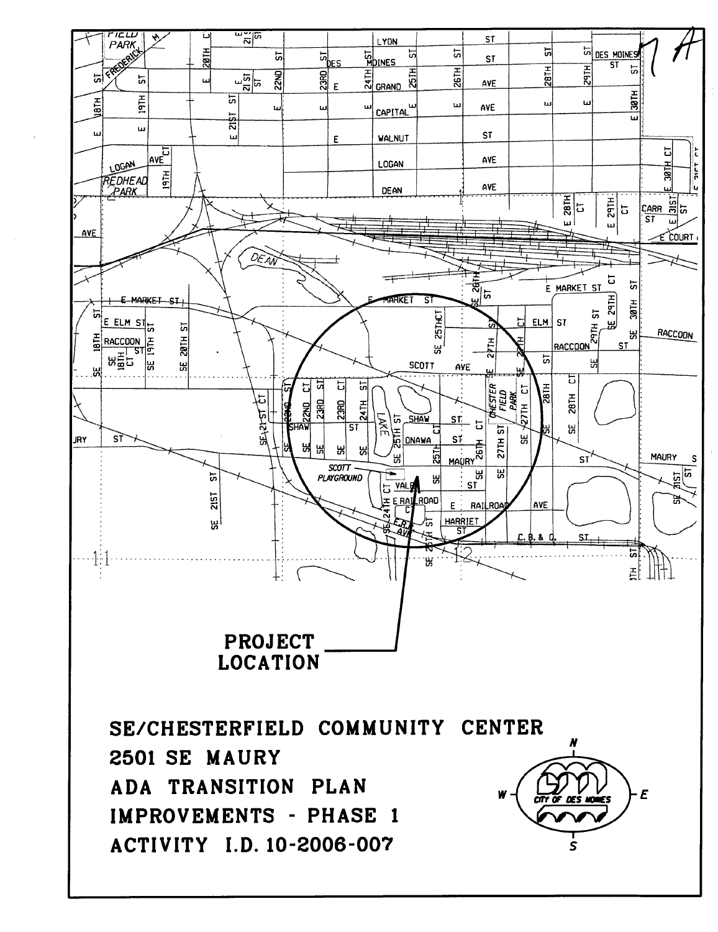